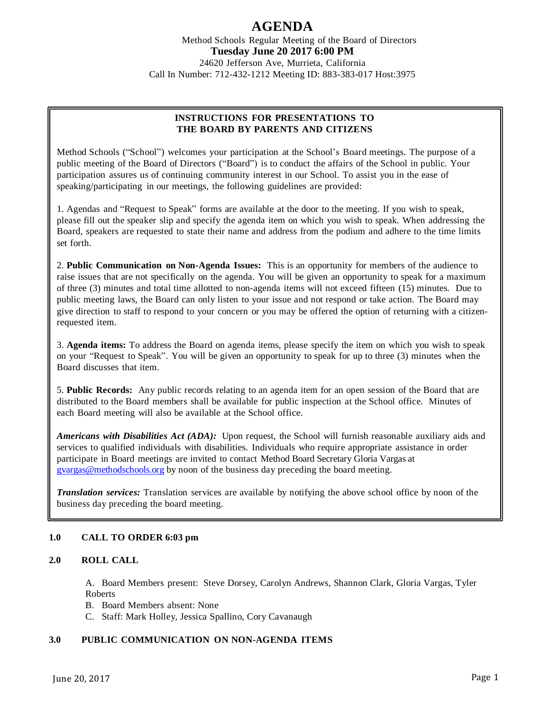Method Schools Regular Meeting of the Board of Directors **Tuesday June 20 2017 6:00 PM**

24620 Jefferson Ave, Murrieta, California Call In Number: 712-432-1212 Meeting ID: 883-383-017 Host:3975

### **INSTRUCTIONS FOR PRESENTATIONS TO THE BOARD BY PARENTS AND CITIZENS**

Method Schools ("School") welcomes your participation at the School's Board meetings. The purpose of a public meeting of the Board of Directors ("Board") is to conduct the affairs of the School in public. Your participation assures us of continuing community interest in our School. To assist you in the ease of speaking/participating in our meetings, the following guidelines are provided:

1. Agendas and "Request to Speak" forms are available at the door to the meeting. If you wish to speak, please fill out the speaker slip and specify the agenda item on which you wish to speak. When addressing the Board, speakers are requested to state their name and address from the podium and adhere to the time limits set forth.

2. **Public Communication on Non-Agenda Issues:** This is an opportunity for members of the audience to raise issues that are not specifically on the agenda. You will be given an opportunity to speak for a maximum of three (3) minutes and total time allotted to non-agenda items will not exceed fifteen (15) minutes. Due to public meeting laws, the Board can only listen to your issue and not respond or take action. The Board may give direction to staff to respond to your concern or you may be offered the option of returning with a citizenrequested item.

3. **Agenda items:** To address the Board on agenda items, please specify the item on which you wish to speak on your "Request to Speak". You will be given an opportunity to speak for up to three (3) minutes when the Board discusses that item.

5. **Public Records:** Any public records relating to an agenda item for an open session of the Board that are distributed to the Board members shall be available for public inspection at the School office. Minutes of each Board meeting will also be available at the School office.

*Americans with Disabilities Act (ADA):* Upon request, the School will furnish reasonable auxiliary aids and services to qualified individuals with disabilities. Individuals who require appropriate assistance in order participate in Board meetings are invited to contact Method Board Secretary Gloria Vargas at [gvargas@methodschools.org](mailto:gvargas@methodschools.org) by noon of the business day preceding the board meeting.

*Translation services:* Translation services are available by notifying the above school office by noon of the business day preceding the board meeting.

### **1.0 CALL TO ORDER 6:03 pm**

### **2.0 ROLL CALL**

A. Board Members present: Steve Dorsey, Carolyn Andrews, Shannon Clark, Gloria Vargas, Tyler Roberts

- B. Board Members absent: None
- C. Staff: Mark Holley, Jessica Spallino, Cory Cavanaugh

### **3.0 PUBLIC COMMUNICATION ON NON-AGENDA ITEMS**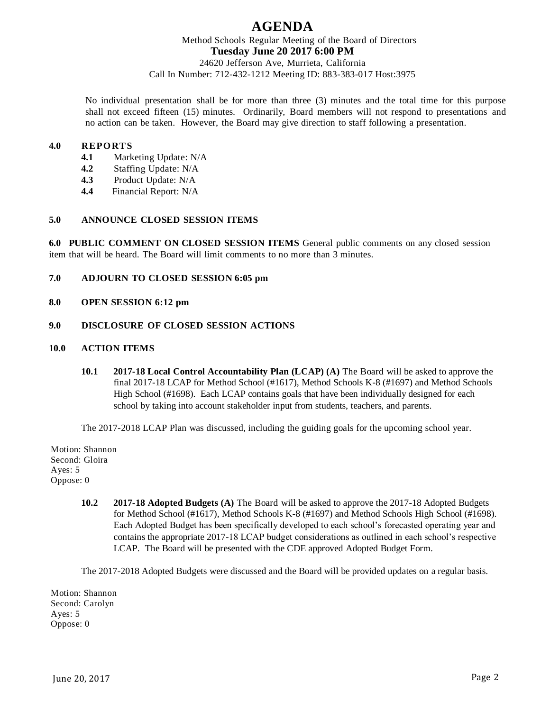Method Schools Regular Meeting of the Board of Directors **Tuesday June 20 2017 6:00 PM**

24620 Jefferson Ave, Murrieta, California Call In Number: 712-432-1212 Meeting ID: 883-383-017 Host:3975

No individual presentation shall be for more than three (3) minutes and the total time for this purpose shall not exceed fifteen (15) minutes. Ordinarily, Board members will not respond to presentations and no action can be taken. However, the Board may give direction to staff following a presentation.

#### **4.0 REPORTS**

- **4.1** Marketing Update: N/A
- **4.2** Staffing Update: N/A
- **4.3** Product Update: N/A
- **4.4** Financial Report: N/A

#### **5.0 ANNOUNCE CLOSED SESSION ITEMS**

**6.0 PUBLIC COMMENT ON CLOSED SESSION ITEMS** General public comments on any closed session item that will be heard. The Board will limit comments to no more than 3 minutes.

- **7.0 ADJOURN TO CLOSED SESSION 6:05 pm**
- **8.0 OPEN SESSION 6:12 pm**

### **9.0 DISCLOSURE OF CLOSED SESSION ACTIONS**

#### **10.0 ACTION ITEMS**

**10.1 2017-18 Local Control Accountability Plan (LCAP) (A)** The Board will be asked to approve the final 2017-18 LCAP for Method School (#1617), Method Schools K-8 (#1697) and Method Schools High School (#1698). Each LCAP contains goals that have been individually designed for each school by taking into account stakeholder input from students, teachers, and parents.

The 2017-2018 LCAP Plan was discussed, including the guiding goals for the upcoming school year.

Motion: Shannon Second: Gloira Ayes: 5 Oppose: 0

> **10.2 2017-18 Adopted Budgets (A)** The Board will be asked to approve the 2017-18 Adopted Budgets for Method School (#1617), Method Schools K-8 (#1697) and Method Schools High School (#1698). Each Adopted Budget has been specifically developed to each school's forecasted operating year and contains the appropriate 2017-18 LCAP budget considerations as outlined in each school's respective LCAP. The Board will be presented with the CDE approved Adopted Budget Form.

The 2017-2018 Adopted Budgets were discussed and the Board will be provided updates on a regular basis.

Motion: Shannon Second: Carolyn Ayes: 5 Oppose: 0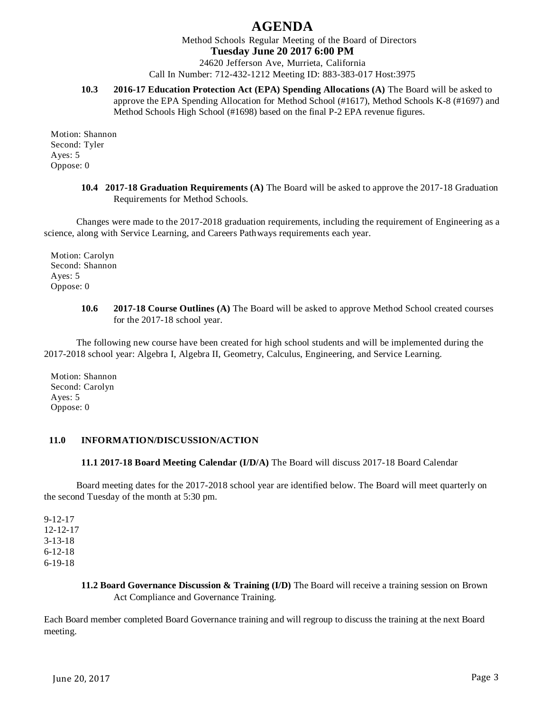Method Schools Regular Meeting of the Board of Directors

### **Tuesday June 20 2017 6:00 PM**

24620 Jefferson Ave, Murrieta, California Call In Number: 712-432-1212 Meeting ID: 883-383-017 Host:3975

**10.3 2016-17 Education Protection Act (EPA) Spending Allocations (A)** The Board will be asked to approve the EPA Spending Allocation for Method School (#1617), Method Schools K-8 (#1697) and Method Schools High School (#1698) based on the final P-2 EPA revenue figures.

Motion: Shannon Second: Tyler Ayes: 5 Oppose: 0

> **10.4 2017-18 Graduation Requirements (A)** The Board will be asked to approve the 2017-18 Graduation Requirements for Method Schools.

Changes were made to the 2017-2018 graduation requirements, including the requirement of Engineering as a science, along with Service Learning, and Careers Pathways requirements each year.

Motion: Carolyn Second: Shannon Ayes: 5 Oppose: 0

> **10.6 2017-18 Course Outlines (A)** The Board will be asked to approve Method School created courses for the 2017-18 school year.

The following new course have been created for high school students and will be implemented during the 2017-2018 school year: Algebra I, Algebra II, Geometry, Calculus, Engineering, and Service Learning.

Motion: Shannon Second: Carolyn Ayes: 5 Oppose: 0

### **11.0 INFORMATION/DISCUSSION/ACTION**

#### **11.1 2017-18 Board Meeting Calendar (I/D/A)** The Board will discuss 2017-18 Board Calendar

Board meeting dates for the 2017-2018 school year are identified below. The Board will meet quarterly on the second Tuesday of the month at 5:30 pm.

9-12-17 12-12-17 3-13-18 6-12-18 6-19-18

> **11.2 Board Governance Discussion & Training (I/D)** The Board will receive a training session on Brown Act Compliance and Governance Training.

Each Board member completed Board Governance training and will regroup to discuss the training at the next Board meeting.